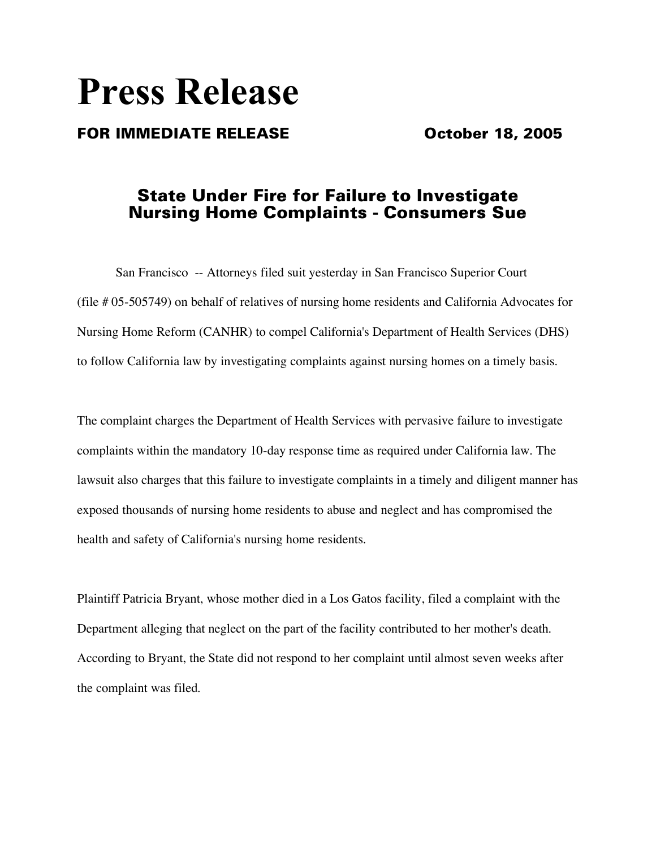# **Press Release**

## FOR IMMEDIATE RELEASE **COMPASSION** October 18, 2005

# State Under Fire for Failure to Investigate Nursing Home Complaints - Consumers Sue

San Francisco -- Attorneys filed suit yesterday in San Francisco Superior Court (file # 05-505749) on behalf of relatives of nursing home residents and California Advocates for Nursing Home Reform (CANHR) to compel California's Department of Health Services (DHS) to follow California law by investigating complaints against nursing homes on a timely basis.

The complaint charges the Department of Health Services with pervasive failure to investigate complaints within the mandatory 10-day response time as required under California law. The lawsuit also charges that this failure to investigate complaints in a timely and diligent manner has exposed thousands of nursing home residents to abuse and neglect and has compromised the health and safety of California's nursing home residents.

Plaintiff Patricia Bryant, whose mother died in a Los Gatos facility, filed a complaint with the Department alleging that neglect on the part of the facility contributed to her mother's death. According to Bryant, the State did not respond to her complaint until almost seven weeks after the complaint was filed.